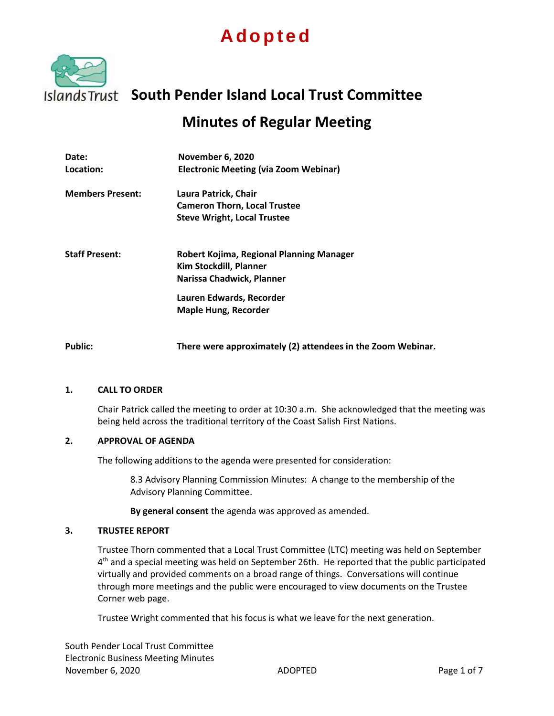# **A d o p t e d**



## **South Pender Island Local Trust Committee**

### **Minutes of Regular Meeting**

| Date:<br>Location:      | November 6, 2020<br><b>Electronic Meeting (via Zoom Webinar)</b>                                                                                           |
|-------------------------|------------------------------------------------------------------------------------------------------------------------------------------------------------|
| <b>Members Present:</b> | Laura Patrick, Chair<br><b>Cameron Thorn, Local Trustee</b><br><b>Steve Wright, Local Trustee</b>                                                          |
| <b>Staff Present:</b>   | Robert Kojima, Regional Planning Manager<br>Kim Stockdill, Planner<br>Narissa Chadwick, Planner<br>Lauren Edwards, Recorder<br><b>Maple Hung, Recorder</b> |
| <b>Public:</b>          | There were approximately (2) attendees in the Zoom Webinar.                                                                                                |

#### **1. CALL TO ORDER**

Chair Patrick called the meeting to order at 10:30 a.m. She acknowledged that the meeting was being held across the traditional territory of the Coast Salish First Nations.

#### **2. APPROVAL OF AGENDA**

The following additions to the agenda were presented for consideration:

8.3 Advisory Planning Commission Minutes: A change to the membership of the Advisory Planning Committee.

**By general consent** the agenda was approved as amended.

#### **3. TRUSTEE REPORT**

Trustee Thorn commented that a Local Trust Committee (LTC) meeting was held on September 4<sup>th</sup> and a special meeting was held on September 26th. He reported that the public participated virtually and provided comments on a broad range of things. Conversations will continue through more meetings and the public were encouraged to view documents on the Trustee Corner web page.

Trustee Wright commented that his focus is what we leave for the next generation.

South Pender Local Trust Committee Electronic Business Meeting Minutes November 6, 2020 **ADOPTED** ADOPTED **Page 1 of 7**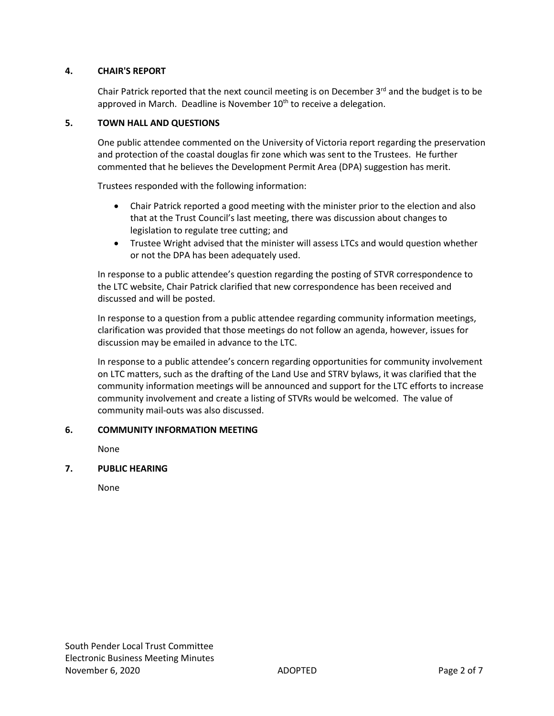#### **4. CHAIR'S REPORT**

Chair Patrick reported that the next council meeting is on December 3<sup>rd</sup> and the budget is to be approved in March. Deadline is November  $10<sup>th</sup>$  to receive a delegation.

#### **5. TOWN HALL AND QUESTIONS**

One public attendee commented on the University of Victoria report regarding the preservation and protection of the coastal douglas fir zone which was sent to the Trustees. He further commented that he believes the Development Permit Area (DPA) suggestion has merit.

Trustees responded with the following information:

- Chair Patrick reported a good meeting with the minister prior to the election and also that at the Trust Council's last meeting, there was discussion about changes to legislation to regulate tree cutting; and
- Trustee Wright advised that the minister will assess LTCs and would question whether or not the DPA has been adequately used.

In response to a public attendee's question regarding the posting of STVR correspondence to the LTC website, Chair Patrick clarified that new correspondence has been received and discussed and will be posted.

In response to a question from a public attendee regarding community information meetings, clarification was provided that those meetings do not follow an agenda, however, issues for discussion may be emailed in advance to the LTC.

In response to a public attendee's concern regarding opportunities for community involvement on LTC matters, such as the drafting of the Land Use and STRV bylaws, it was clarified that the community information meetings will be announced and support for the LTC efforts to increase community involvement and create a listing of STVRs would be welcomed. The value of community mail-outs was also discussed.

#### **6. COMMUNITY INFORMATION MEETING**

None

#### **7. PUBLIC HEARING**

None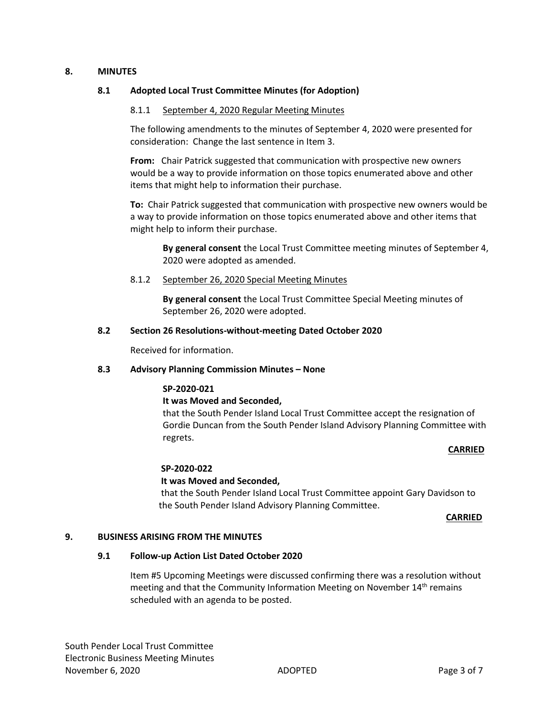#### **8. MINUTES**

#### **8.1 Adopted Local Trust Committee Minutes (for Adoption)**

#### 8.1.1 September 4, 2020 Regular Meeting Minutes

The following amendments to the minutes of September 4, 2020 were presented for consideration: Change the last sentence in Item 3.

**From:** Chair Patrick suggested that communication with prospective new owners would be a way to provide information on those topics enumerated above and other items that might help to information their purchase.

**To:** Chair Patrick suggested that communication with prospective new owners would be a way to provide information on those topics enumerated above and other items that might help to inform their purchase.

**By general consent** the Local Trust Committee meeting minutes of September 4, 2020 were adopted as amended.

8.1.2 September 26, 2020 Special Meeting Minutes

**By general consent** the Local Trust Committee Special Meeting minutes of September 26, 2020 were adopted.

#### **8.2 Section 26 Resolutions-without-meeting Dated October 2020**

Received for information.

#### **8.3 Advisory Planning Commission Minutes – None**

#### **SP-2020-021**

#### **It was Moved and Seconded,**

that the South Pender Island Local Trust Committee accept the resignation of Gordie Duncan from the South Pender Island Advisory Planning Committee with regrets.

#### **CARRIED**

#### **SP-2020-022**

#### **It was Moved and Seconded,**

that the South Pender Island Local Trust Committee appoint Gary Davidson to the South Pender Island Advisory Planning Committee.

#### **CARRIED**

#### **9. BUSINESS ARISING FROM THE MINUTES**

#### **9.1 Follow-up Action List Dated October 2020**

Item #5 Upcoming Meetings were discussed confirming there was a resolution without meeting and that the Community Information Meeting on November  $14<sup>th</sup>$  remains scheduled with an agenda to be posted.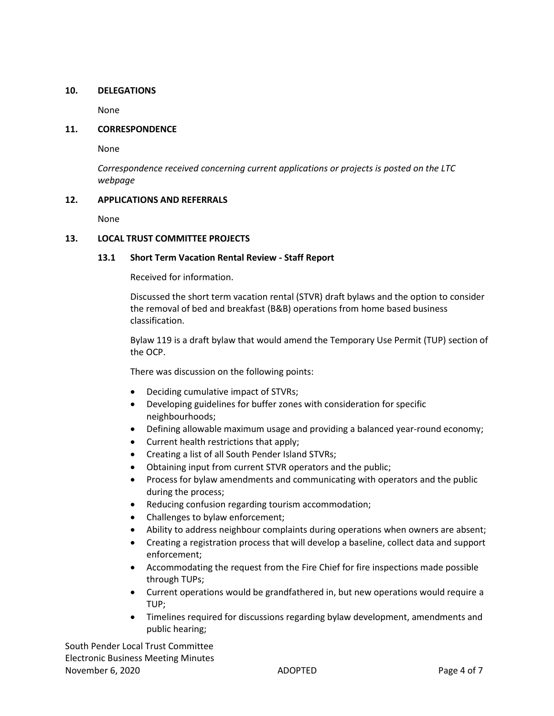#### **10. DELEGATIONS**

None

#### **11. CORRESPONDENCE**

None

*Correspondence received concerning current applications or projects is posted on the LTC webpage*

#### **12. APPLICATIONS AND REFERRALS**

None

#### **13. LOCAL TRUST COMMITTEE PROJECTS**

#### **13.1 Short Term Vacation Rental Review - Staff Report**

Received for information.

Discussed the short term vacation rental (STVR) draft bylaws and the option to consider the removal of bed and breakfast (B&B) operations from home based business classification.

Bylaw 119 is a draft bylaw that would amend the Temporary Use Permit (TUP) section of the OCP.

There was discussion on the following points:

- Deciding cumulative impact of STVRs;
- Developing guidelines for buffer zones with consideration for specific neighbourhoods;
- Defining allowable maximum usage and providing a balanced year-round economy;
- Current health restrictions that apply;
- Creating a list of all South Pender Island STVRs;
- Obtaining input from current STVR operators and the public;
- Process for bylaw amendments and communicating with operators and the public during the process;
- Reducing confusion regarding tourism accommodation;
- Challenges to bylaw enforcement;
- Ability to address neighbour complaints during operations when owners are absent;
- Creating a registration process that will develop a baseline, collect data and support enforcement;
- Accommodating the request from the Fire Chief for fire inspections made possible through TUPs;
- Current operations would be grandfathered in, but new operations would require a TUP;
- Timelines required for discussions regarding bylaw development, amendments and public hearing;

South Pender Local Trust Committee Electronic Business Meeting Minutes November 6, 2020 **ADOPTED** ADOPTED **Page 4 of 7**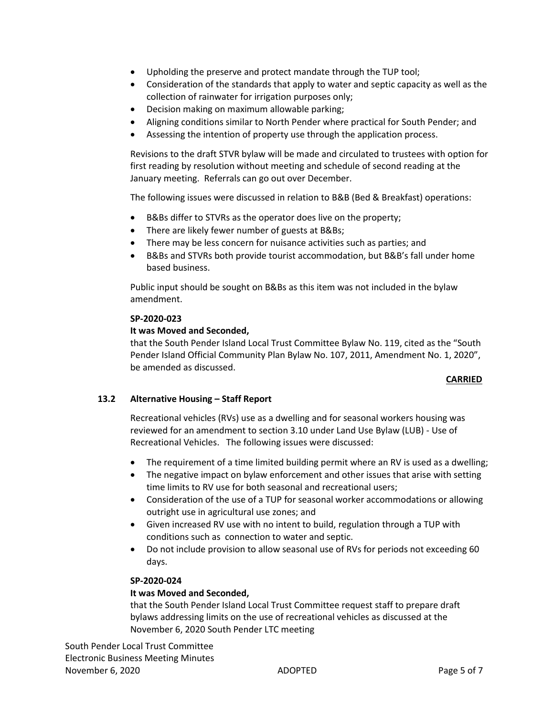- Upholding the preserve and protect mandate through the TUP tool;
- Consideration of the standards that apply to water and septic capacity as well as the collection of rainwater for irrigation purposes only;
- Decision making on maximum allowable parking;
- Aligning conditions similar to North Pender where practical for South Pender; and
- Assessing the intention of property use through the application process.

Revisions to the draft STVR bylaw will be made and circulated to trustees with option for first reading by resolution without meeting and schedule of second reading at the January meeting. Referrals can go out over December.

The following issues were discussed in relation to B&B (Bed & Breakfast) operations:

- B&Bs differ to STVRs as the operator does live on the property;
- There are likely fewer number of guests at B&Bs;
- There may be less concern for nuisance activities such as parties; and
- B&Bs and STVRs both provide tourist accommodation, but B&B's fall under home based business.

Public input should be sought on B&Bs as this item was not included in the bylaw amendment.

#### **SP-2020-023**

#### **It was Moved and Seconded,**

that the South Pender Island Local Trust Committee Bylaw No. 119, cited as the "South Pender Island Official Community Plan Bylaw No. 107, 2011, Amendment No. 1, 2020", be amended as discussed.

#### **CARRIED**

#### **13.2 Alternative Housing – Staff Report**

Recreational vehicles (RVs) use as a dwelling and for seasonal workers housing was reviewed for an amendment to section 3.10 under Land Use Bylaw (LUB) - Use of Recreational Vehicles. The following issues were discussed:

- The requirement of a time limited building permit where an RV is used as a dwelling;
- The negative impact on bylaw enforcement and other issues that arise with setting time limits to RV use for both seasonal and recreational users;
- Consideration of the use of a TUP for seasonal worker accommodations or allowing outright use in agricultural use zones; and
- Given increased RV use with no intent to build, regulation through a TUP with conditions such as connection to water and septic.
- Do not include provision to allow seasonal use of RVs for periods not exceeding 60 days.

#### **SP-2020-024**

#### **It was Moved and Seconded,**

that the South Pender Island Local Trust Committee request staff to prepare draft bylaws addressing limits on the use of recreational vehicles as discussed at the November 6, 2020 South Pender LTC meeting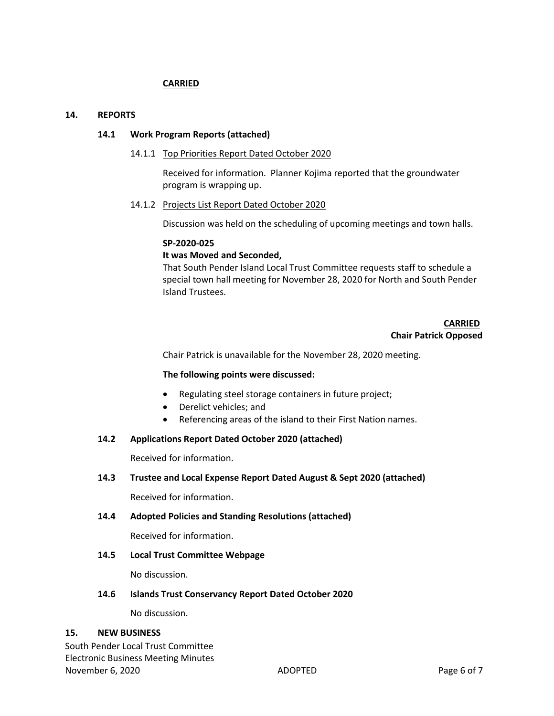#### **CARRIED**

#### **14. REPORTS**

#### **14.1 Work Program Reports (attached)**

#### 14.1.1 Top Priorities Report Dated October 2020

Received for information. Planner Kojima reported that the groundwater program is wrapping up.

#### 14.1.2 Projects List Report Dated October 2020

Discussion was held on the scheduling of upcoming meetings and town halls.

#### **SP-2020-025**

#### **It was Moved and Seconded,**

That South Pender Island Local Trust Committee requests staff to schedule a special town hall meeting for November 28, 2020 for North and South Pender Island Trustees.

#### **CARRIED Chair Patrick Opposed**

Chair Patrick is unavailable for the November 28, 2020 meeting.

#### **The following points were discussed:**

- Regulating steel storage containers in future project;
- Derelict vehicles; and
- Referencing areas of the island to their First Nation names.

#### **14.2 Applications Report Dated October 2020 (attached)**

Received for information.

#### **14.3 Trustee and Local Expense Report Dated August & Sept 2020 (attached)**

Received for information.

#### **14.4 Adopted Policies and Standing Resolutions (attached)**

Received for information.

#### **14.5 Local Trust Committee Webpage**

No discussion.

#### **14.6 Islands Trust Conservancy Report Dated October 2020**

No discussion.

#### **15. NEW BUSINESS**

South Pender Local Trust Committee Electronic Business Meeting Minutes November 6, 2020 **ADOPTED** ADOPTED **Page 6 of 7**